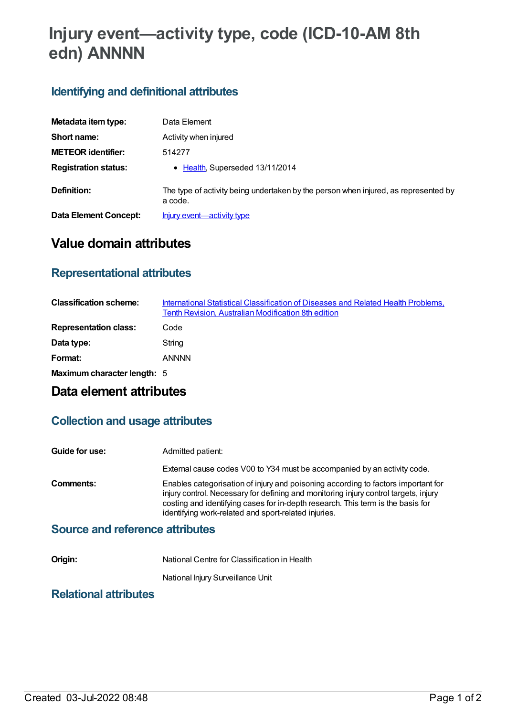# **Injury event—activity type, code (ICD-10-AM 8th edn) ANNNN**

# **Identifying and definitional attributes**

| Metadata item type:          | Data Element                                                                                   |
|------------------------------|------------------------------------------------------------------------------------------------|
| Short name:                  | Activity when injured                                                                          |
| <b>METEOR identifier:</b>    | 514277                                                                                         |
| <b>Registration status:</b>  | • Health, Superseded 13/11/2014                                                                |
| Definition:                  | The type of activity being undertaken by the person when injured, as represented by<br>a code. |
| <b>Data Element Concept:</b> | <u>Injury event—activity type</u>                                                              |

# **Value domain attributes**

### **Representational attributes**

| <b>Classification scheme:</b> | International Statistical Classification of Diseases and Related Health Problems,<br>Tenth Revision, Australian Modification 8th edition |
|-------------------------------|------------------------------------------------------------------------------------------------------------------------------------------|
| <b>Representation class:</b>  | Code                                                                                                                                     |
| Data type:                    | String                                                                                                                                   |
| Format:                       | <b>ANNNN</b>                                                                                                                             |
| Maximum character length: 5   |                                                                                                                                          |

# **Data element attributes**

### **Collection and usage attributes**

| Guide for use:                         | Admitted patient:                                                                                                                                                                                                                                                                                                    |
|----------------------------------------|----------------------------------------------------------------------------------------------------------------------------------------------------------------------------------------------------------------------------------------------------------------------------------------------------------------------|
|                                        | External cause codes V00 to Y34 must be accompanied by an activity code.                                                                                                                                                                                                                                             |
| Comments:                              | Enables categorisation of injury and poisoning according to factors important for<br>injury control. Necessary for defining and monitoring injury control targets, injury<br>costing and identifying cases for in-depth research. This term is the basis for<br>identifying work-related and sport-related injuries. |
| <b>Source and reference attributes</b> |                                                                                                                                                                                                                                                                                                                      |

#### **Origin:** National Centre for Classification in Health

National Injury Surveillance Unit

# **Relational attributes**